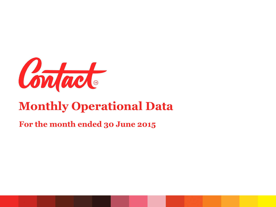

# **Monthly Operational Data**

#### **For the month ended 30 June 2015**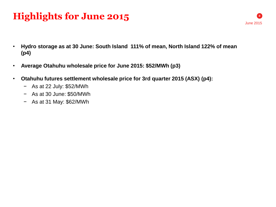## **Highlights for June 2015**

- **Hydro storage as at 30 June: South Island 111% of mean, North Island 122% of mean (p4)**
- **Average Otahuhu wholesale price for June 2015: \$52/MWh (p3)**
- **Otahuhu futures settlement wholesale price for 3rd quarter 2015 (ASX) (p4):**
	- − As at 22 July: \$52/MWh
	- − As at 30 June: \$50/MWh
	- − As at 31 May: \$62/MWh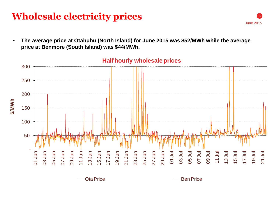### **Wholesale electricity prices**

• **The average price at Otahuhu (North Island) for June 2015 was \$52/MWh while the average price at Benmore (South Island) was \$44/MWh.**



#### **Half hourly wholesale prices**

Ota Price **Ben Price Ben Price** 

**3**

June 2015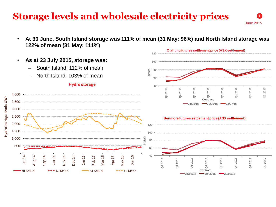### **Storage levels and wholesale electricity prices**

• **At 30 June, South Island storage was 111% of mean (31 May: 96%) and North Island storage was 122% of mean (31 May: 111%)** 



**4**

June 2015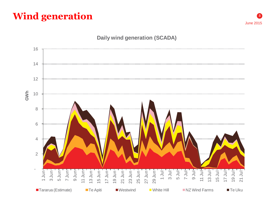### **Wind generation**



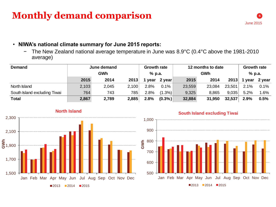### **Monthly demand comparison**



#### • **NIWA's national climate summary for June 2015 reports:**

− The New Zealand national average temperature in June was 8.9°C (0.4°C above the 1981-2010 average)

| <b>Demand</b>                | June demand |       |       | <b>Growth rate</b> |           | 12 months to date |        |        | <b>Growth rate</b> |        |
|------------------------------|-------------|-------|-------|--------------------|-----------|-------------------|--------|--------|--------------------|--------|
|                              | <b>GWh</b>  |       |       | % p.a.             |           | <b>GWh</b>        |        |        | % p.a.             |        |
|                              | 2015        | 2014  | 2013  | vear               | 2 year    | 2015              | 2014   | 2013   | vear               | 2 year |
| North Island                 | 2,103       | 2,045 | 2,100 | 2.8%               | 0.1%      | 23,559            | 23,084 | 23,501 | 2.1%               | 0.1%   |
| South Island excluding Tiwai | 764         | 743   | 785   | 2.8%               | $(1.3\%)$ | 9,325             | 8,865  | 9,035  | 5.2%               | 1.6%   |
| <b>Total</b>                 | 2,867       | 2,789 | 2,885 | 2.8%               | $(0.3\%)$ | 32,884            | 31,950 | 32,537 | 2.9%               | 0.5%   |



#### **South Island excluding Tiwai**